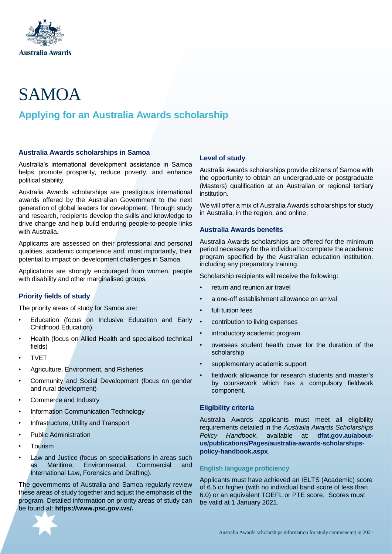

# SAMOA

# **Applying for an Australia Awards scholarship**

#### **Australia Awards scholarships in Samoa**

Australia's international development assistance in Samoa helps promote prosperity, reduce poverty, and enhance political stability.

Australia Awards scholarships are prestigious international awards offered by the Australian Government to the next generation of global leaders for development. Through study and research, recipients develop the skills and knowledge to drive change and help build enduring people-to-people links with Australia.

Applicants are assessed on their professional and personal qualities, academic competence and, most importantly, their potential to impact on development challenges in Samoa.

Applications are strongly encouraged from women, people with disability and other marginalised groups.

# **Priority fields of study**

The priority areas of study for Samoa are:

- Education (focus on Inclusive Education and Early Childhood Education)
- Health (focus on Allied Health and specialised technical fields)
- **TVET**
- Agriculture, Environment, and Fisheries
- Community and Social Development (focus on gender and rural development)
- Commerce and Industry
- Information Communication Technology
- Infrastructure, Utility and Transport
- Public Administration
- **Tourism**
- Law and Justice (focus on specialisations in areas such as Maritime, Environmental, Commercial and International Law, Forensics and Drafting).

The governments of Australia and Samoa regularly review these areas of study together and adjust the emphasis of the program. Detailed information on priority areas of study can be found at: **[https://www.psc.gov.ws/.](https://www.psc.gov.ws/)**

# **Level of study**

Australia Awards scholarships provide citizens of Samoa with the opportunity to obtain an undergraduate or postgraduate (Masters) qualification at an Australian or regional tertiary institution.

We will offer a mix of Australia Awards scholarships for study in Australia, in the region, and online.

#### **Australia Awards benefits**

Australia Awards scholarships are offered for the minimum period necessary for the individual to complete the academic program specified by the Australian education institution, including any preparatory training.

Scholarship recipients will receive the following:

- return and reunion air travel
- a one-off establishment allowance on arrival
- full tuition fees
- contribution to living expenses
- introductory academic program
- overseas student health cover for the duration of the scholarship
- supplementary academic support
- fieldwork allowance for research students and master's by coursework which has a compulsory fieldwork component.

#### **Eligibility criteria**

Australia Awards applicants must meet all eligibility requirements detailed in the *Australia Awards Scholarships Policy Handbook*, available at: **[dfat.gov.au/about](http://dfat.gov.au/about-us/publications/Pages/australia-awards-scholarships-policy-handbook.aspx)[us/publications/Pages/australia-awards-scholarships](http://dfat.gov.au/about-us/publications/Pages/australia-awards-scholarships-policy-handbook.aspx)[policy-handbook.aspx](http://dfat.gov.au/about-us/publications/Pages/australia-awards-scholarships-policy-handbook.aspx)**.

# **English language proficiency**

Applicants must have achieved an IELTS (Academic) score of 6.5 or higher (with no individual band score of less than 6.0) or an equivalent TOEFL or PTE score. Scores must be valid at 1 January 2021.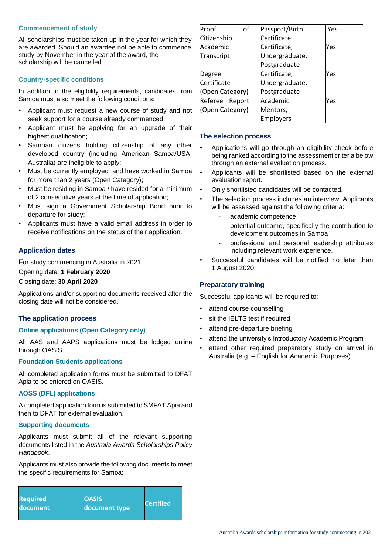#### **Commencement of study**

All scholarships must be taken up in the year for which they are awarded. Should an awardee not be able to commence study by November in the year of the award, the scholarship will be cancelled.

# **Country-specific conditions**

In addition to the eligibility requirements, candidates from Samoa must also meet the following conditions:

- Applicant must request a new course of study and not seek support for a course already commenced;
- Applicant must be applying for an upgrade of their highest qualification:
- Samoan citizens holding citizenship of any other developed country (including American Samoa/USA, Australia) are ineligible to apply;
- Must be currently employed and have worked in Samoa for more than 2 years (Open Category);
- Must be residing in Samoa / have resided for a minimum of 2 consecutive years at the time of application;
- Must sign a Government Scholarship Bond prior to departure for study;
- Applicants must have a valid email address in order to receive notifications on the status of their application.

#### **Application dates**

For study commencing in Australia in 2021:

#### Opening date: **1 February 2020**

Closing date: **30 April 2020**

Applications and/or supporting documents received after the closing date will not be considered.

#### **The application process**

#### **Online applications (Open Category only)**

All AAS and AAPS applications must be lodged online through OASIS.

#### **Foundation Students applications**

All completed application forms must be submitted to DFAT Apia to be entered on OASIS.

#### **AOSS (DFL) applications**

A completed application form is submitted to SMFAT Apia and then to DFAT for external evaluation.

#### **Supporting documents**

Applicants must submit all of the relevant supporting documents listed in the *Australia Awards Scholarships Policy Handbook*.

Applicants must also provide the following documents to meet the specific requirements for Samoa:

| <b>Required</b> | <b>OASIS</b>  | <b>Certified</b> |
|-----------------|---------------|------------------|
| document        | document type |                  |

| Proof<br>of     | Passport/Birth   | Yes |
|-----------------|------------------|-----|
| Citizenship     | Certificate      |     |
| Academic        | Certificate,     | Yes |
| Transcript      | Undergraduate,   |     |
|                 | Postgraduate     |     |
| Degree          | Certificate,     | Yes |
| Certificate     | Undergraduate,   |     |
| (Open Category) | Postgraduate     |     |
| Referee Report  | Academic         | Yes |
| (Open Category) | Mentors,         |     |
|                 | <b>Employers</b> |     |

#### **The selection process**

- Applications will go through an eligibility check before being ranked according to the assessment criteria below through an external evaluation process.
- Applicants will be shortlisted based on the external evaluation report.
- Only shortlisted candidates will be contacted.
- The selection process includes an interview. Applicants will be assessed against the following criteria:
	- academic competence
	- potential outcome, specifically the contribution to development outcomes in Samoa
	- professional and personal leadership attributes including relevant work experience.
- Successful candidates will be notified no later than 1 August 2020.

#### **Preparatory training**

Successful applicants will be required to:

- attend course counselling
- sit the IELTS test if required
- attend pre-departure briefing
- attend the university's Introductory Academic Program
- attend other required preparatory study on arrival in Australia (e.g. – English for Academic Purposes).